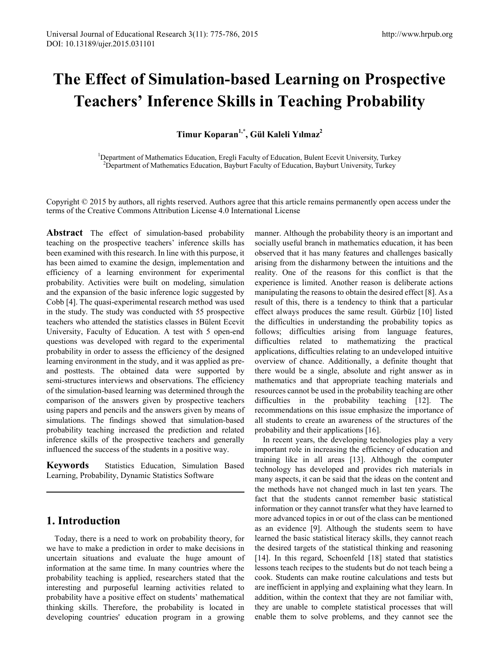# **The Effect of Simulation-based Learning on Prospective Teachers' Inference Skills in Teaching Probability**

**Timur Koparan1,\* , Gül Kaleli Yılmaz<sup>2</sup>**

<sup>1</sup>Department of Mathematics Education, Eregli Faculty of Education, Bulent Ecevit University, Turkey<br><sup>2</sup>Department of Mathematics Education, Bayburt Ecculty of Education, Bayburt University, Turkey <sup>2</sup>Department of Mathematics Education, Bayburt Faculty of Education, Bayburt University, Turkey

Copyright © 2015 by authors, all rights reserved. Authors agree that this article remains permanently open access under the terms of the Creative Commons Attribution License 4.0 International License

**Abstract** The effect of simulation-based probability teaching on the prospective teachers' inference skills has been examined with this research. In line with this purpose, it has been aimed to examine the design, implementation and efficiency of a learning environment for experimental probability. Activities were built on modeling, simulation and the expansion of the basic inference logic suggested by Cobb [4]. The quasi-experimental research method was used in the study. The study was conducted with 55 prospective teachers who attended the statistics classes in Bülent Ecevit University, Faculty of Education. A test with 5 open-end questions was developed with regard to the experimental probability in order to assess the efficiency of the designed learning environment in the study, and it was applied as preand posttests. The obtained data were supported by semi-structures interviews and observations. The efficiency of the simulation-based learning was determined through the comparison of the answers given by prospective teachers using papers and pencils and the answers given by means of simulations. The findings showed that simulation-based probability teaching increased the prediction and related inference skills of the prospective teachers and generally influenced the success of the students in a positive way.

**Keywords** Statistics Education, Simulation Based Learning, Probability, Dynamic Statistics Software

# **1. Introduction**

Today, there is a need to work on probability theory, for we have to make a prediction in order to make decisions in uncertain situations and evaluate the huge amount of information at the same time. In many countries where the probability teaching is applied, researchers stated that the interesting and purposeful learning activities related to probability have a positive effect on students' mathematical thinking skills. Therefore, the probability is located in developing countries' education program in a growing manner. Although the probability theory is an important and socially useful branch in mathematics education, it has been observed that it has many features and challenges basically arising from the disharmony between the intuitions and the reality. One of the reasons for this conflict is that the experience is limited. Another reason is deliberate actions manipulating the reasons to obtain the desired effect [8]. As a result of this, there is a tendency to think that a particular effect always produces the same result. Gürbüz [10] listed the difficulties in understanding the probability topics as follows; difficulties arising from language features, difficulties related to mathematizing the practical applications, difficulties relating to an undeveloped intuitive overview of chance. Additionally, a definite thought that there would be a single, absolute and right answer as in mathematics and that appropriate teaching materials and resources cannot be used in the probability teaching are other difficulties in the probability teaching [12]. The recommendations on this issue emphasize the importance of all students to create an awareness of the structures of the probability and their applications [16].

In recent years, the developing technologies play a very important role in increasing the efficiency of education and training like in all areas [13]. Although the computer technology has developed and provides rich materials in many aspects, it can be said that the ideas on the content and the methods have not changed much in last ten years. The fact that the students cannot remember basic statistical information or they cannot transfer what they have learned to more advanced topics in or out of the class can be mentioned as an evidence [9]. Although the students seem to have learned the basic statistical literacy skills, they cannot reach the desired targets of the statistical thinking and reasoning [14]. In this regard, Schoenfeld [18] stated that statistics lessons teach recipes to the students but do not teach being a cook. Students can make routine calculations and tests but are inefficient in applying and explaining what they learn. In addition, within the context that they are not familiar with, they are unable to complete statistical processes that will enable them to solve problems, and they cannot see the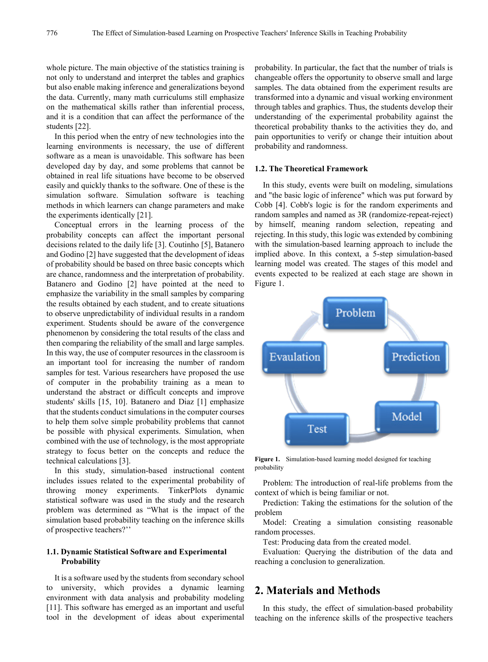whole picture. The main objective of the statistics training is not only to understand and interpret the tables and graphics but also enable making inference and generalizations beyond the data. Currently, many math curriculums still emphasize on the mathematical skills rather than inferential process, and it is a condition that can affect the performance of the students [22].

In this period when the entry of new technologies into the learning environments is necessary, the use of different software as a mean is unavoidable. This software has been developed day by day, and some problems that cannot be obtained in real life situations have become to be observed easily and quickly thanks to the software. One of these is the simulation software. Simulation software is teaching methods in which learners can change parameters and make the experiments identically [21].

Conceptual errors in the learning process of the probability concepts can affect the important personal decisions related to the daily life [3]. Coutinho [5], Batanero and Godino [2] have suggested that the development of ideas of probability should be based on three basic concepts which are chance, randomness and the interpretation of probability. Batanero and Godino [2] have pointed at the need to emphasize the variability in the small samples by comparing the results obtained by each student, and to create situations to observe unpredictability of individual results in a random experiment. Students should be aware of the convergence phenomenon by considering the total results of the class and then comparing the reliability of the small and large samples. In this way, the use of computer resources in the classroom is an important tool for increasing the number of random samples for test. Various researchers have proposed the use of computer in the probability training as a mean to understand the abstract or difficult concepts and improve students' skills [15, 10]. Batanero and Diaz [1] emphasize that the students conduct simulations in the computer courses to help them solve simple probability problems that cannot be possible with physical experiments. Simulation, when combined with the use of technology, is the most appropriate strategy to focus better on the concepts and reduce the technical calculations [3].

In this study, simulation-based instructional content includes issues related to the experimental probability of throwing money experiments. TinkerPlots dynamic statistical software was used in the study and the research problem was determined as "What is the impact of the simulation based probability teaching on the inference skills of prospective teachers?''

## **1.1. Dynamic Statistical Software and Experimental Probability**

It is a software used by the students from secondary school to university, which provides a dynamic learning environment with data analysis and probability modeling [11]. This software has emerged as an important and useful tool in the development of ideas about experimental

probability. In particular, the fact that the number of trials is changeable offers the opportunity to observe small and large samples. The data obtained from the experiment results are transformed into a dynamic and visual working environment through tables and graphics. Thus, the students develop their understanding of the experimental probability against the theoretical probability thanks to the activities they do, and pain opportunities to verify or change their intuition about probability and randomness.

#### **1.2. The Theoretical Framework**

In this study, events were built on modeling, simulations and "the basic logic of inference" which was put forward by Cobb [4]. Cobb's logic is for the random experiments and random samples and named as 3R (randomize-repeat-reject) by himself, meaning random selection, repeating and rejecting. In this study, this logic was extended by combining with the simulation-based learning approach to include the implied above. In this context, a 5-step simulation-based learning model was created. The stages of this model and events expected to be realized at each stage are shown in Figure 1.



**Figure 1.** Simulation-based learning model designed for teaching probability

Problem: The introduction of real-life problems from the context of which is being familiar or not.

Prediction: Taking the estimations for the solution of the problem

Model: Creating a simulation consisting reasonable random processes.

Test: Producing data from the created model.

Evaluation: Querying the distribution of the data and reaching a conclusion to generalization.

# **2. Materials and Methods**

In this study, the effect of simulation-based probability teaching on the inference skills of the prospective teachers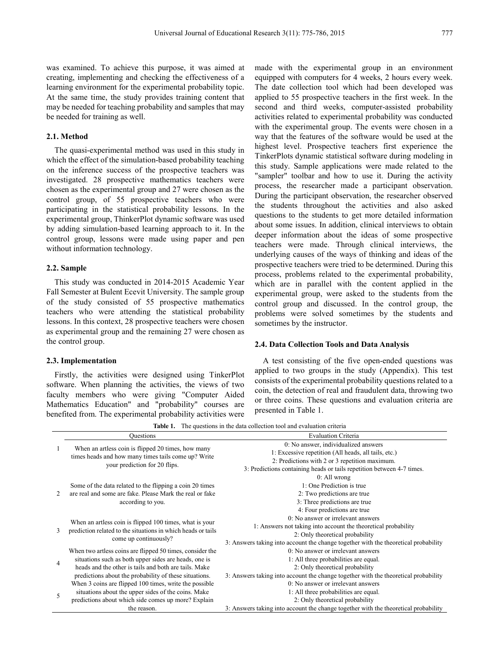was examined. To achieve this purpose, it was aimed at creating, implementing and checking the effectiveness of a learning environment for the experimental probability topic. At the same time, the study provides training content that may be needed for teaching probability and samples that may be needed for training as well.

## **2.1. Method**

The quasi-experimental method was used in this study in which the effect of the simulation-based probability teaching on the inference success of the prospective teachers was investigated. 28 prospective mathematics teachers were chosen as the experimental group and 27 were chosen as the control group, of 55 prospective teachers who were participating in the statistical probability lessons. In the experimental group, ThinkerPlot dynamic software was used by adding simulation-based learning approach to it. In the control group, lessons were made using paper and pen without information technology.

#### **2.2. Sample**

This study was conducted in 2014-2015 Academic Year Fall Semester at Bulent Ecevit University. The sample group of the study consisted of 55 prospective mathematics teachers who were attending the statistical probability lessons. In this context, 28 prospective teachers were chosen as experimental group and the remaining 27 were chosen as the control group.

#### **2.3. Implementation**

Firstly, the activities were designed using TinkerPlot software. When planning the activities, the views of two faculty members who were giving "Computer Aided Mathematics Education" and "probability" courses are benefited from. The experimental probability activities were

made with the experimental group in an environment equipped with computers for 4 weeks, 2 hours every week. The date collection tool which had been developed was applied to 55 prospective teachers in the first week. In the second and third weeks, computer-assisted probability activities related to experimental probability was conducted with the experimental group. The events were chosen in a way that the features of the software would be used at the highest level. Prospective teachers first experience the TinkerPlots dynamic statistical software during modeling in this study. Sample applications were made related to the "sampler" toolbar and how to use it. During the activity process, the researcher made a participant observation. During the participant observation, the researcher observed the students throughout the activities and also asked questions to the students to get more detailed information about some issues. In addition, clinical interviews to obtain deeper information about the ideas of some prospective teachers were made. Through clinical interviews, the underlying causes of the ways of thinking and ideas of the prospective teachers were tried to be determined. During this process, problems related to the experimental probability, which are in parallel with the content applied in the experimental group, were asked to the students from the control group and discussed. In the control group, the problems were solved sometimes by the students and sometimes by the instructor.

#### **2.4. Data Collection Tools and Data Analysis**

A test consisting of the five open-ended questions was applied to two groups in the study (Appendix). This test consists of the experimental probability questions related to a coin, the detection of real and fraudulent data, throwing two or three coins. These questions and evaluation criteria are presented in Table 1.

Questions Evaluation Criteria 1 When an artless coin is flipped 20 times, how many times heads and how many times tails come up? Write your prediction for 20 flips. 0: No answer, individualized answers 1: Excessive repetition (All heads, all tails, etc.) 2: Predictions with 2 or 3 repetition maximum. 3: Predictions containing heads or tails repetition between 4-7 times.  $\mathcal{Z}$ Some of the data related to the flipping a coin 20 times are real and some are fake. Please Mark the real or fake according to you. 0: All wrong 1: One Prediction is true 2: Two predictions are true 3: Three predictions are true 4: Four predictions are true 3 When an artless coin is flipped 100 times, what is your prediction related to the situations in which heads or tails come up continuously? 0: No answer or irrelevant answers 1: Answers not taking into account the theoretical probability 2: Only theoretical probability 3: Answers taking into account the change together with the theoretical probability 4 When two artless coins are flipped 50 times, consider the situations such as both upper sides are heads, one is heads and the other is tails and both are tails. Make predictions about the probability of these situations. 0: No answer or irrelevant answers 1: All three probabilities are equal. 2: Only theoretical probability 3: Answers taking into account the change together with the theoretical probability 5 When 3 coins are flipped 100 times, write the possible situations about the upper sides of the coins. Make predictions about which side comes up more? Explain the reason. 0: No answer or irrelevant answers 1: All three probabilities are equal. 2: Only theoretical probability 3: Answers taking into account the change together with the theoretical probability

**Table 1.** The questions in the data collection tool and evaluation criteria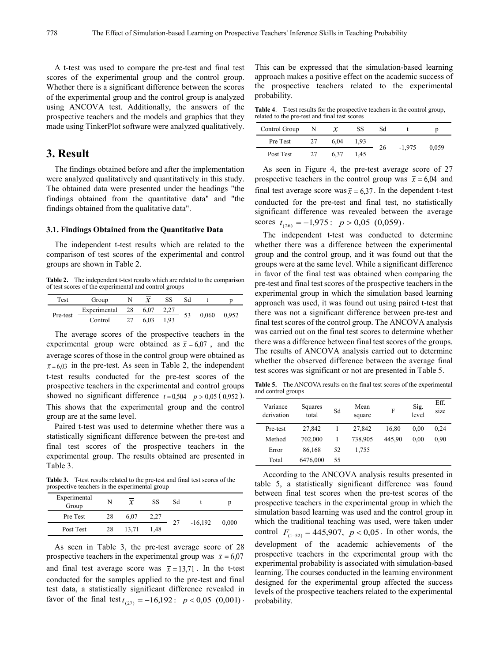A t-test was used to compare the pre-test and final test scores of the experimental group and the control group. Whether there is a significant difference between the scores of the experimental group and the control group is analyzed using ANCOVA test. Additionally, the answers of the prospective teachers and the models and graphics that they made using TinkerPlot software were analyzed qualitatively.

## **3. Result**

The findings obtained before and after the implementation were analyzed qualitatively and quantitatively in this study. The obtained data were presented under the headings "the findings obtained from the quantitative data" and "the findings obtained from the qualitative data".

### **3.1. Findings Obtained from the Quantitative Data**

The independent t-test results which are related to the comparison of test scores of the experimental and control groups are shown in Table 2.

**Table 2.** The independent t-test results which are related to the comparison of test scores of the experimental and control groups

| Test     | Group           |      | SS   |    |       |       |  |
|----------|-----------------|------|------|----|-------|-------|--|
| Pre-test | Experimental 28 | 6.07 |      | 53 |       |       |  |
|          | Control         | 6.03 | 1.93 |    | 0,060 | 0.952 |  |

The average scores of the prospective teachers in the experimental group were obtained as  $\bar{x} = 6.07$ , and the average scores of those in the control group were obtained as  $\bar{x}$  = 6.03 in the pre-test. As seen in Table 2, the independent t-test results conducted for the pre-test scores of the prospective teachers in the experimental and control groups showed no significant difference  $t = 0.504$  *p* > 0,05 (0,952). This shows that the experimental group and the control group are at the same level.

Paired t-test was used to determine whether there was a statistically significant difference between the pre-test and final test scores of the prospective teachers in the experimental group. The results obtained are presented in Table 3.

**Table 3.** T-test results related to the pre-test and final test scores of the prospective teachers in the experimental group

| Experimental<br>Group | N  | $\mathcal{X}$ | SS   | Sd |           | D     |  |
|-----------------------|----|---------------|------|----|-----------|-------|--|
| Pre Test              | 28 | 6.07          | 2.27 |    |           | 0.000 |  |
| Post Test             | 28 | 13.71         | 1.48 |    | $-16,192$ |       |  |

As seen in Table 3, the pre-test average score of 28 prospective teachers in the experimental group was  $\bar{x} = 6.07$ and final test average score was  $\bar{x} = 13.71$ . In the t-test conducted for the samples applied to the pre-test and final test data, a statistically significant difference revealed in favor of the final test  $t_{(27)} = -16,192$ :  $p < 0.05$  (0,001) *t* 

This can be expressed that the simulation-based learning approach makes a positive effect on the academic success of the prospective teachers related to the experimental probability.

**Table 4**. T-test results for the prospective teachers in the control group, related to the pre-test and final test scores

| Control Group |    |      | SS   | Sd |          |       |  |
|---------------|----|------|------|----|----------|-------|--|
| Pre Test      | 27 | 6.04 | 1.93 |    |          |       |  |
| Post Test     | 27 | 6.37 | 1.45 | 26 | $-1.975$ | 0.059 |  |

As seen in Figure 4, the pre-test average score of 27 prospective teachers in the control group was  $\bar{x} = 6.04$  and final test average score was  $\bar{x} = 6.37$ . In the dependent t-test conducted for the pre-test and final test, no statistically significant difference was revealed between the average scores  $t_{(26)} = -1,975$  :  $p > 0,05$  (0,059).

The independent t-test was conducted to determine whether there was a difference between the experimental group and the control group, and it was found out that the groups were at the same level. While a significant difference in favor of the final test was obtained when comparing the pre-test and final test scores of the prospective teachers in the experimental group in which the simulation based learning approach was used, it was found out using paired t-test that there was not a significant difference between pre-test and final test scores of the control group. The ANCOVA analysis was carried out on the final test scores to determine whether there was a difference between final test scores of the groups. The results of ANCOVA analysis carried out to determine whether the observed difference between the average final test scores was significant or not are presented in Table 5.

**Table 5.** The ANCOVA results on the final test scores of the experimental and control groups

| Variance<br>derivation | Squares<br>total | Sd | Mean<br>square | F      | Sig.<br>level | Eff.<br>size |
|------------------------|------------------|----|----------------|--------|---------------|--------------|
| Pre-test               | 27,842           |    | 27.842         | 16,80  | 0.00          | 0.24         |
| Method                 | 702,000          |    | 738,905        | 445.90 | 0.00          | 0.90         |
| Error                  | 86.168           | 52 | 1,755          |        |               |              |
| Total                  | 6476,000         | 55 |                |        |               |              |

According to the ANCOVA analysis results presented in table 5, a statistically significant difference was found between final test scores when the pre-test scores of the prospective teachers in the experimental group in which the simulation based learning was used and the control group in which the traditional teaching was used, were taken under control  $F_{(1-52)} = 445,907$ ,  $p < 0,05$ . In other words, the development of the academic achievements of the prospective teachers in the experimental group with the experimental probability is associated with simulation-based learning. The courses conducted in the learning environment designed for the experimental group affected the success levels of the prospective teachers related to the experimental probability.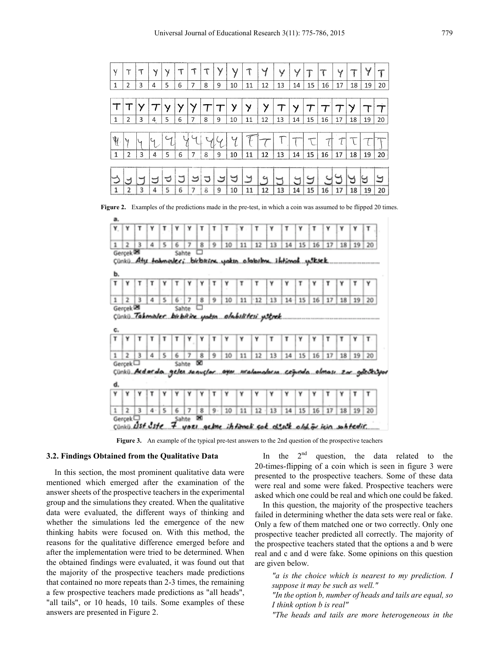| Y            | T | Т | Y | Y | T |   | τ              | ٧              | V  | T  | y  | Y  | Y  |    | T  | Y  | ompo | Y  |    |
|--------------|---|---|---|---|---|---|----------------|----------------|----|----|----|----|----|----|----|----|------|----|----|
| 1            | 2 | 3 | 4 | 5 | 6 | 7 | 8              | 9              | 10 | 11 | 12 | 13 | 14 | 15 | 16 | 17 | 18   | 19 | 20 |
|              |   |   |   |   |   |   |                |                |    |    |    |    |    |    |    |    |      |    |    |
|              |   |   |   |   |   |   |                |                | у  | Y  |    |    | У  |    |    |    |      |    |    |
| 1            | 2 | 3 | 4 | 5 | 6 | 7 | 8              | 9              | 10 | 11 | 12 | 13 | 14 | 15 | 16 | 17 | 18   | 19 | 20 |
|              |   |   |   |   |   |   |                |                |    |    |    |    |    |    |    |    |      |    |    |
| Y            | Ч |   | Ч |   | Þ |   | $\tau_{\rm k}$ | $\sim_{\rm f}$ | Y  |    |    |    |    |    |    |    |      |    |    |
| $\mathbf{1}$ | 2 | 3 | 4 | 5 | 6 | 7 | 8              | 9              | 10 | 11 | 12 | 13 | 14 | 15 | 16 | 17 | 18   | 19 | 20 |
|              |   |   |   |   |   |   |                |                |    |    |    |    |    |    |    |    |      |    |    |
|              | ∽ |   |   |   |   | ౨ | っ              | ک              | ⊌  | り  | Ч  |    |    | J  |    |    |      | ビ  | Э  |
| 1            | 2 | 3 | 4 | 5 | 6 | 7 | 8              | 9              | 10 | 11 | 12 | 13 | 14 | 15 | 16 | 17 | 18   | 19 | 20 |

**Figure 2.** Examples of the predictions made in the pre-test, in which a coin was assumed to be flipped 20 times.



**Figure 3.** An example of the typical pre-test answers to the 2nd question of the prospective teachers

#### **3.2. Findings Obtained from the Qualitative Data**

In this section, the most prominent qualitative data were mentioned which emerged after the examination of the answer sheets of the prospective teachers in the experimental group and the simulations they created. When the qualitative data were evaluated, the different ways of thinking and whether the simulations led the emergence of the new thinking habits were focused on. With this method, the reasons for the qualitative difference emerged before and after the implementation were tried to be determined. When the obtained findings were evaluated, it was found out that the majority of the prospective teachers made predictions that contained no more repeats than 2-3 times, the remaining a few prospective teachers made predictions as "all heads", "all tails", or 10 heads, 10 tails. Some examples of these answers are presented in Figure 2.

In the  $2<sup>nd</sup>$  question, the data related to the 20-times-flipping of a coin which is seen in figure 3 were presented to the prospective teachers. Some of these data were real and some were faked. Prospective teachers were asked which one could be real and which one could be faked.

In this question, the majority of the prospective teachers failed in determining whether the data sets were real or fake. Only a few of them matched one or two correctly. Only one prospective teacher predicted all correctly. The majority of the prospective teachers stated that the options a and b were real and c and d were fake. Some opinions on this question are given below.

*"a is the choice which is nearest to my prediction. I suppose it may be such as well."*

*"In the option b, number of heads and tails are equal, so I think option b is real"*

*"The heads and tails are more heterogeneous in the*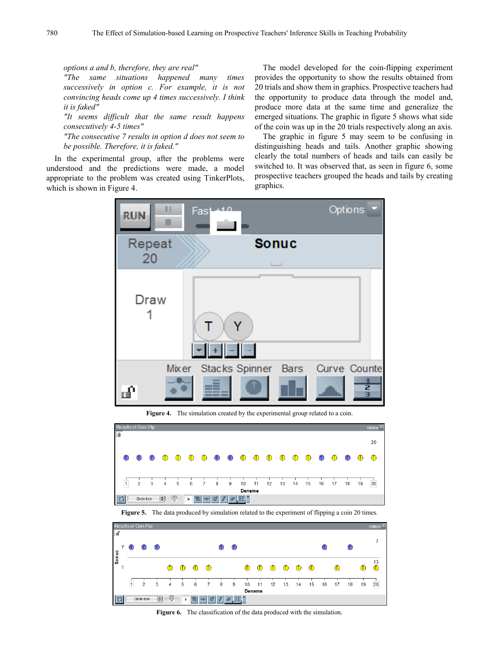*options a and b, therefore, they are real"*

*"The same situations happened many times successively in option c. For example, it is not convincing heads come up 4 times successively. I think it is faked"*

*"It seems difficult that the same result happens consecutively 4-5 times"*

*"The consecutive 7 results in option d does not seem to be possible. Therefore, it is faked."*

In the experimental group, after the problems were understood and the predictions were made, a model appropriate to the problem was created using TinkerPlots, which is shown in Figure 4.

The model developed for the coin-flipping experiment provides the opportunity to show the results obtained from 20 trials and show them in graphics. Prospective teachers had the opportunity to produce data through the model and, produce more data at the same time and generalize the emerged situations. The graphic in figure 5 shows what side of the coin was up in the 20 trials respectively along an axis.

The graphic in figure 5 may seem to be confusing in distinguishing heads and tails. Another graphic showing clearly the total numbers of heads and tails can easily be switched to. It was observed that, as seen in figure 6, some prospective teachers grouped the heads and tails by creating graphics.



Figure 4. The simulation created by the experimental group related to a coin.



**Figure 5.** The data produced by simulation related to the experiment of flipping a coin 20 times.



**Figure 6.** The classification of the data produced with the simulation*.*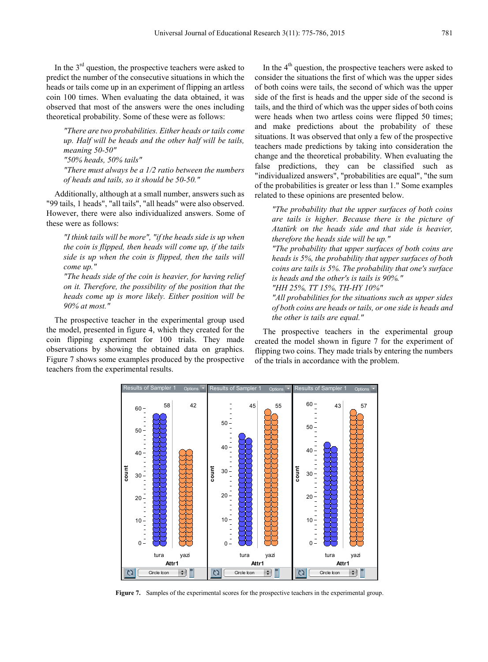In the  $3<sup>rd</sup>$  question, the prospective teachers were asked to predict the number of the consecutive situations in which the heads or tails come up in an experiment of flipping an artless coin 100 times. When evaluating the data obtained, it was observed that most of the answers were the ones including theoretical probability. Some of these were as follows:

*"There are two probabilities. Either heads or tails come up. Half will be heads and the other half will be tails, meaning 50-50" "50% heads, 50% tails"*

*"There must always be a 1/2 ratio between the numbers of heads and tails, so it should be 50-50."*

Additionally, although at a small number, answers such as "99 tails, 1 heads", "all tails", "all heads" were also observed. However, there were also individualized answers. Some of these were as follows:

*"I think tails will be more", "if the heads side is up when the coin is flipped, then heads will come up, if the tails side is up when the coin is flipped, then the tails will come up."*

*"The heads side of the coin is heavier, for having relief on it. Therefore, the possibility of the position that the heads come up is more likely. Either position will be 90% at most."*

The prospective teacher in the experimental group used the model, presented in figure 4, which they created for the coin flipping experiment for 100 trials. They made observations by showing the obtained data on graphics. Figure 7 shows some examples produced by the prospective teachers from the experimental results.

In the  $4<sup>th</sup>$  question, the prospective teachers were asked to consider the situations the first of which was the upper sides of both coins were tails, the second of which was the upper side of the first is heads and the upper side of the second is tails, and the third of which was the upper sides of both coins were heads when two artless coins were flipped 50 times; and make predictions about the probability of these situations. It was observed that only a few of the prospective teachers made predictions by taking into consideration the change and the theoretical probability. When evaluating the false predictions, they can be classified such as "individualized answers", "probabilities are equal", "the sum of the probabilities is greater or less than 1." Some examples related to these opinions are presented below.

*"The probability that the upper surfaces of both coins are tails is higher. Because there is the picture of Atatürk on the heads side and that side is heavier, therefore the heads side will be up."*

*"The probability that upper surfaces of both coins are heads is 5%, the probability that upper surfaces of both coins are tails is 5%. The probability that one's surface is heads and the other's is tails is 90%."*

*"HH 25%, TT 15%, TH-HY 10%"*

*"All probabilities for the situations such as upper sides of both coins are heads or tails, or one side is heads and the other is tails are equal."*

The prospective teachers in the experimental group created the model shown in figure 7 for the experiment of flipping two coins. They made trials by entering the numbers of the trials in accordance with the problem.



**Figure 7.** Samples of the experimental scores for the prospective teachers in the experimental group.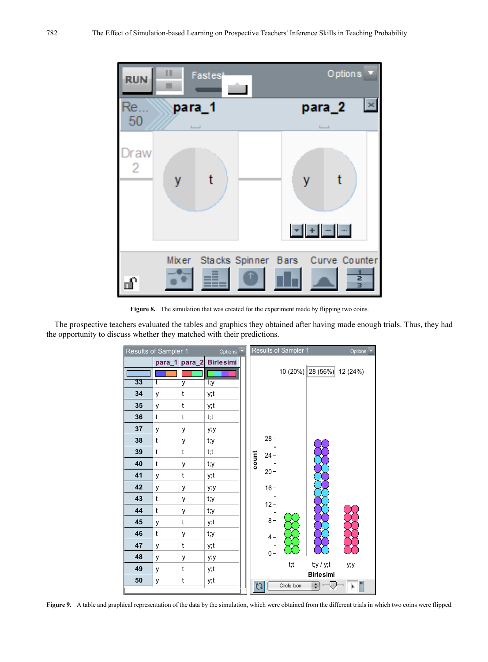

Figure 8. The simulation that was created for the experiment made by flipping two coins.

The prospective teachers evaluated the tables and graphics they obtained after having made enough trials. Thus, they had the opportunity to discuss whether they matched with their predictions.



**Figure 9.** A table and graphical representation of the data by the simulation, which were obtained from the different trials in which two coins were flipped.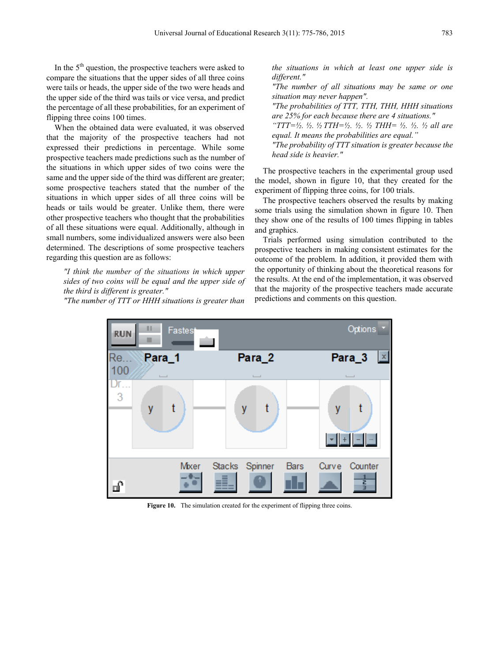In the  $5<sup>th</sup>$  question, the prospective teachers were asked to compare the situations that the upper sides of all three coins were tails or heads, the upper side of the two were heads and the upper side of the third was tails or vice versa, and predict the percentage of all these probabilities, for an experiment of flipping three coins 100 times.

When the obtained data were evaluated, it was observed that the majority of the prospective teachers had not expressed their predictions in percentage. While some prospective teachers made predictions such as the number of the situations in which upper sides of two coins were the same and the upper side of the third was different are greater; some prospective teachers stated that the number of the situations in which upper sides of all three coins will be heads or tails would be greater. Unlike them, there were other prospective teachers who thought that the probabilities of all these situations were equal. Additionally, although in small numbers, some individualized answers were also been determined. The descriptions of some prospective teachers regarding this question are as follows:

*"I think the number of the situations in which upper sides of two coins will be equal and the upper side of the third is different is greater."*

*"The number of TTT or HHH situations is greater than* 

*the situations in which at least one upper side is different."*

*"The number of all situations may be same or one situation may never happen".* 

*"The probabilities of TTT, TTH, THH, HHH situations are 25% for each because there are 4 situations."*

*"TTT=½. ½. ½ TTH=½. ½. ½ THH= ½. ½. ½ all are equal. It means the probabilities are equal."*

*"The probability of TTT situation is greater because the head side is heavier."*

The prospective teachers in the experimental group used the model, shown in figure 10, that they created for the experiment of flipping three coins, for 100 trials.

The prospective teachers observed the results by making some trials using the simulation shown in figure 10. Then they show one of the results of 100 times flipping in tables and graphics.

Trials performed using simulation contributed to the prospective teachers in making consistent estimates for the outcome of the problem. In addition, it provided them with the opportunity of thinking about the theoretical reasons for the results. At the end of the implementation, it was observed that the majority of the prospective teachers made accurate predictions and comments on this question.



Figure 10. The simulation created for the experiment of flipping three coins.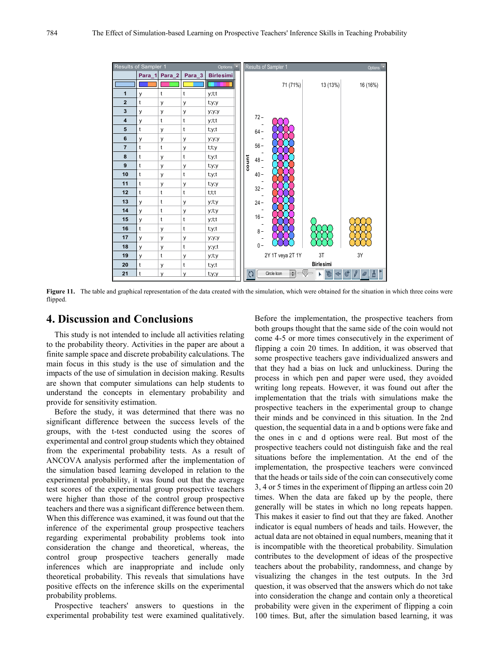

Figure 11. The table and graphical representation of the data created with the simulation, which were obtained for the situation in which three coins were flipped.

## **4. Discussion and Conclusions**

This study is not intended to include all activities relating to the probability theory. Activities in the paper are about a finite sample space and discrete probability calculations. The main focus in this study is the use of simulation and the impacts of the use of simulation in decision making. Results are shown that computer simulations can help students to understand the concepts in elementary probability and provide for sensitivity estimation.

Before the study, it was determined that there was no significant difference between the success levels of the groups, with the t-test conducted using the scores of experimental and control group students which they obtained from the experimental probability tests. As a result of ANCOVA analysis performed after the implementation of the simulation based learning developed in relation to the experimental probability, it was found out that the average test scores of the experimental group prospective teachers were higher than those of the control group prospective teachers and there was a significant difference between them. When this difference was examined, it was found out that the inference of the experimental group prospective teachers regarding experimental probability problems took into consideration the change and theoretical, whereas, the control group prospective teachers generally made inferences which are inappropriate and include only theoretical probability. This reveals that simulations have positive effects on the inference skills on the experimental probability problems.

Prospective teachers' answers to questions in the experimental probability test were examined qualitatively.

Before the implementation, the prospective teachers from both groups thought that the same side of the coin would not come 4-5 or more times consecutively in the experiment of flipping a coin 20 times. In addition, it was observed that some prospective teachers gave individualized answers and that they had a bias on luck and unluckiness. During the process in which pen and paper were used, they avoided writing long repeats. However, it was found out after the implementation that the trials with simulations make the prospective teachers in the experimental group to change their minds and be convinced in this situation. In the 2nd question, the sequential data in a and b options were fake and the ones in c and d options were real. But most of the prospective teachers could not distinguish fake and the real situations before the implementation. At the end of the implementation, the prospective teachers were convinced that the heads or tails side of the coin can consecutively come 3, 4 or 5 times in the experiment of flipping an artless coin 20 times. When the data are faked up by the people, there generally will be states in which no long repeats happen. This makes it easier to find out that they are faked. Another indicator is equal numbers of heads and tails. However, the actual data are not obtained in equal numbers, meaning that it is incompatible with the theoretical probability. Simulation contributes to the development of ideas of the prospective teachers about the probability, randomness, and change by visualizing the changes in the test outputs. In the 3rd question, it was observed that the answers which do not take into consideration the change and contain only a theoretical probability were given in the experiment of flipping a coin 100 times. But, after the simulation based learning, it was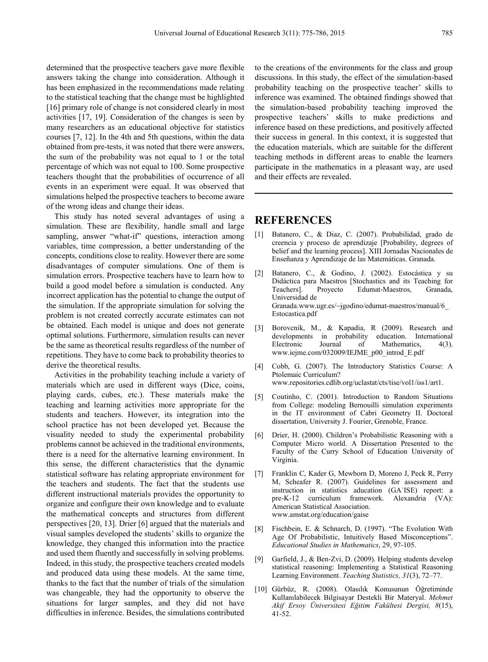determined that the prospective teachers gave more flexible answers taking the change into consideration. Although it has been emphasized in the recommendations made relating to the statistical teaching that the change must be highlighted [16] primary role of change is not considered clearly in most activities [17, 19]. Consideration of the changes is seen by many researchers as an educational objective for statistics courses [7, 12]. In the 4th and 5th questions, within the data obtained from pre-tests, it was noted that there were answers, the sum of the probability was not equal to 1 or the total percentage of which was not equal to 100. Some prospective teachers thought that the probabilities of occurrence of all events in an experiment were equal. It was observed that simulations helped the prospective teachers to become aware of the wrong ideas and change their ideas.

This study has noted several advantages of using a simulation. These are flexibility, handle small and large sampling, answer "what-if" questions, interaction among variables, time compression, a better understanding of the concepts, conditions close to reality. However there are some disadvantages of computer simulations. One of them is simulation errors. Prospective teachers have to learn how to build a good model before a simulation is conducted. Any incorrect application has the potential to change the output of the simulation. If the appropriate simulation for solving the problem is not created correctly accurate estimates can not be obtained. Each model is unique and does not generate optimal solutions. Furthermore, simulation results can never be the same as theoretical results regardless of the number of repetitions. They have to come back to probability theories to derive the theoretical results.

Activities in the probability teaching include a variety of materials which are used in different ways (Dice, coins, playing cards, cubes, etc.). These materials make the teaching and learning activities more appropriate for the students and teachers. However, its integration into the school practice has not been developed yet. Because the visuality needed to study the experimental probability problems cannot be achieved in the traditional environments, there is a need for the alternative learning environment. In this sense, the different characteristics that the dynamic statistical software has relating appropriate environment for the teachers and students. The fact that the students use different instructional materials provides the opportunity to organize and configure their own knowledge and to evaluate the mathematical concepts and structures from different perspectives [20, 13]. Drier [6] argued that the materials and visual samples developed the students' skills to organize the knowledge, they changed this information into the practice and used them fluently and successfully in solving problems. Indeed, in this study, the prospective teachers created models and produced data using these models. At the same time, thanks to the fact that the number of trials of the simulation was changeable, they had the opportunity to observe the situations for larger samples, and they did not have difficulties in inference. Besides, the simulations contributed

to the creations of the environments for the class and group discussions. In this study, the effect of the simulation-based probability teaching on the prospective teacher' skills to inference was examined. The obtained findings showed that the simulation-based probability teaching improved the prospective teachers' skills to make predictions and inference based on these predictions, and positively affected their success in general. In this context, it is suggested that the education materials, which are suitable for the different teaching methods in different areas to enable the learners participate in the mathematics in a pleasant way, are used and their effects are revealed.

## **REFERENCES**

- [1] Batanero, C., & Diaz, C. (2007). Probabilidad, grado de creencia y proceso de aprendizaje [Probability, degrees of belief and the learning process]. XIII Jornadas Nacionales de Enseñanza y Aprendizaje de las Matemáticas. Granada.
- [2] Batanero, C., & Godino, J. (2002). Estocástica y su Didáctica para Maestros [Stochastics and its Teaching for Teachers]. Proyecto Edumat-Maestros, Granada, Universidad de Granada.www.ugr.es/~jgodino/edumat-maestros/manual/6\_ Estocastica.pdf
- [3] Borovcnik, M., & Kapadia, R (2009). Research and developments in probability education. International Electronic Journal of Mathematics, 4(3). www.iejme.com/032009/IEJME\_p00\_introd\_E.pdf
- [4] Cobb, G. (2007). The Introductory Statistics Course: A Ptolemaic Curriculum? www.repositories.cdlib.org/uclastat/cts/tise/vol1/iss1/art1.
- [5] Coutinho, C. (2001). Introduction to Random Situations from College: modeling Bernouilli simulation experiments in the IT environment of Cabri Geometry II. Doctoral dissertation, University J. Fourier, Grenoble, France.
- [6] Drier, H. (2000). Children's Probabilistic Reasoning with a Computer Micro world. A Dissertation Presented to the Faculty of the Curry School of Education University of Virginia.
- [7] Franklin C, Kader G, Mewborn D, Moreno J, Peck R, Perry M, Scheafer R. (2007). Guidelines for assessment and instruction in statistics aducation (GA˙ISE) report: a pre-K-12 curriculum framework. Alexandria (VA): American Statistical Association. www.amstat.org/education/gaise
- [8] Fischbein, E. & Schnarch, D. (1997). "The Evolution With Age Of Probabilistic, Intuitively Based Misconceptions". *Educational Studies in Mathematics*, 29, 97-105.
- [9] Garfield, J., & Ben-Zvi, D. (2009). Helping students develop statistical reasoning: Implementing a Statistical Reasoning Learning Environment. *Teaching Statistics, 31*(3), 72–77.
- [10] Gürbüz, R. (2008). Olasılık Konusunun Öğretiminde Kullanılabilecek Bilgisayar Destekli Bir Materyal. *Mehmet Akif Ersoy Üniversitesi Eğitim Fakültesi Dergisi, 8*(15), 41-52.